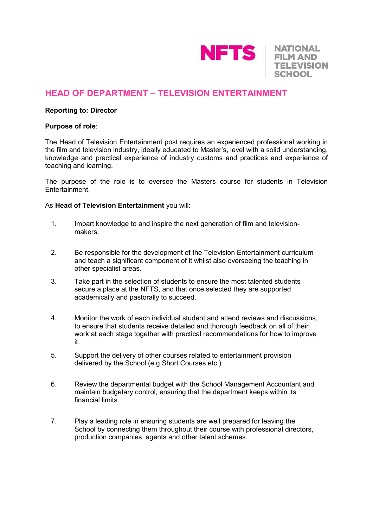

**NATIONAL FILM AND TELEVISION SCHOOL** 

# **HEAD OF DEPARTMENT – TELEVISION ENTERTAINMENT**

### **Reporting to: Director**

#### **Purpose of role**:

The Head of Television Entertainment post requires an experienced professional working in the film and television industry, ideally educated to Master's, level with a solid understanding, knowledge and practical experience of industry customs and practices and experience of teaching and learning.

The purpose of the role is to oversee the Masters course for students in Television Entertainment.

#### As **Head of Television Entertainment** you will:

- 1. Impart knowledge to and inspire the next generation of film and televisionmakers.
- 2. Be responsible for the development of the Television Entertainment curriculum and teach a significant component of it whilst also overseeing the teaching in other specialist areas.
- 3. Take part in the selection of students to ensure the most talented students secure a place at the NFTS, and that once selected they are supported academically and pastorally to succeed.
- 4. Monitor the work of each individual student and attend reviews and discussions, to ensure that students receive detailed and thorough feedback on all of their work at each stage together with practical recommendations for how to improve it.
- 5. Support the delivery of other courses related to entertainment provision delivered by the School (e.g Short Courses etc.).
- 6. Review the departmental budget with the School Management Accountant and maintain budgetary control, ensuring that the department keeps within its financial limits.
- 7. Play a leading role in ensuring students are well prepared for leaving the School by connecting them throughout their course with professional directors, production companies, agents and other talent schemes.